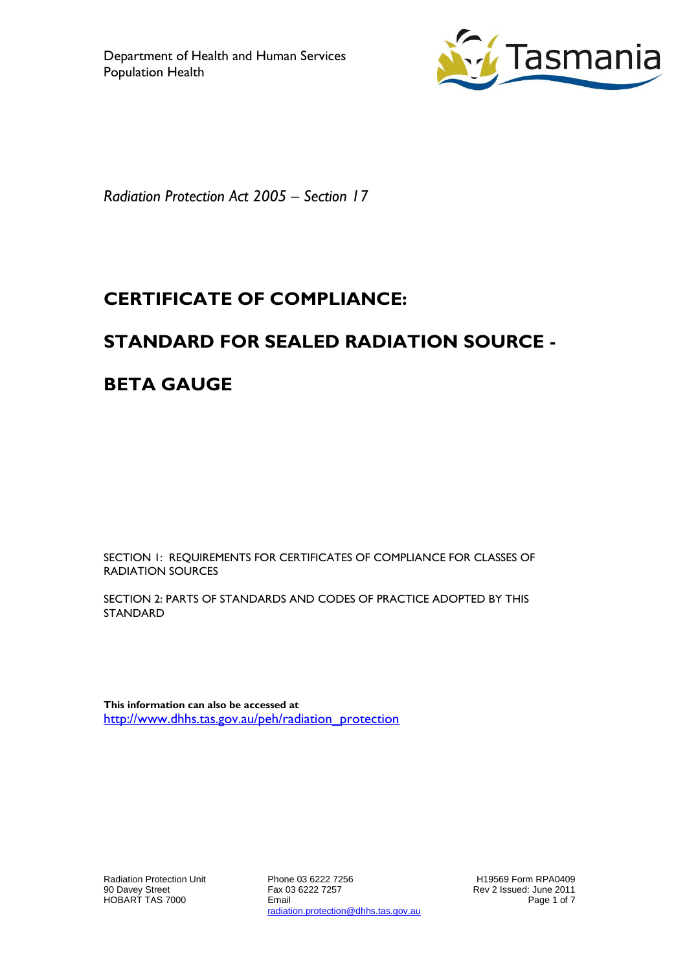

*Radiation Protection Act 2005 – Section 17*

# **CERTIFICATE OF COMPLIANCE:**

## **STANDARD FOR SEALED RADIATION SOURCE -**

## **BETA GAUGE**

SECTION 1: REQUIREMENTS FOR CERTIFICATES OF COMPLIANCE FOR CLASSES OF RADIATION SOURCES

SECTION 2: PARTS OF STANDARDS AND CODES OF PRACTICE ADOPTED BY THIS STANDARD

**This information can also be accessed at** [http://www.dhhs.tas.gov.au/peh/radiation\\_protection](http://www.dhhs.tas.gov.au/peh/radiation_protection)

Phone 03 6222 7256 Fax 03 6222 7257 Email radiation.protection@dhhs.tas.gov.au

H19569 Form RPA0409 Rev 2 Issued: June 2011 Page 1 of 7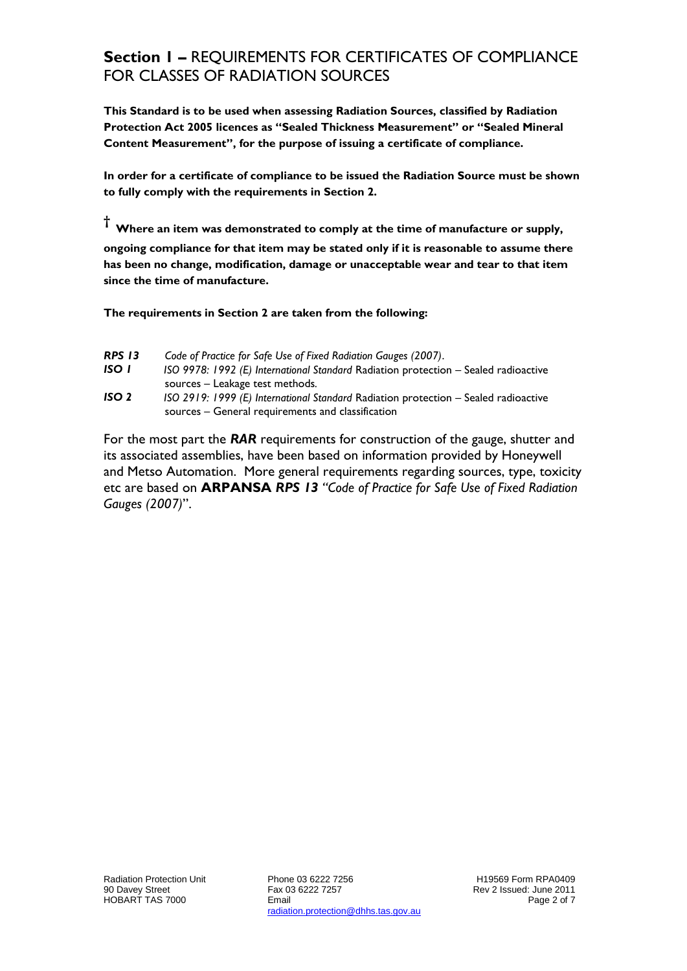#### **Section 1 –** REQUIREMENTS FOR CERTIFICATES OF COMPLIANCE FOR CLASSES OF RADIATION SOURCES

**This Standard is to be used when assessing Radiation Sources, classified by Radiation Protection Act 2005 licences as "Sealed Thickness Measurement" or "Sealed Mineral Content Measurement", for the purpose of issuing a certificate of compliance.**

**In order for a certificate of compliance to be issued the Radiation Source must be shown to fully comply with the requirements in Section 2.**

**† Where an item was demonstrated to comply at the time of manufacture or supply,** 

**ongoing compliance for that item may be stated only if it is reasonable to assume there has been no change, modification, damage or unacceptable wear and tear to that item since the time of manufacture.** 

**The requirements in Section 2 are taken from the following:**

- *RPS 13 Code of Practice for Safe Use of Fixed Radiation Gauges (2007)*.
- *ISO 1 ISO 9978: 1992 (E) International Standard* Radiation protection Sealed radioactive sources – Leakage test methods*.*
- *ISO 2 ISO 2919: 1999 (E) International Standard* Radiation protection Sealed radioactive sources – General requirements and classification

For the most part the *RAR* requirements for construction of the gauge, shutter and its associated assemblies, have been based on information provided by Honeywell and Metso Automation. More general requirements regarding sources, type, toxicity etc are based on **ARPANSA** *RPS 13 "Code of Practice for Safe Use of Fixed Radiation Gauges (2007)*".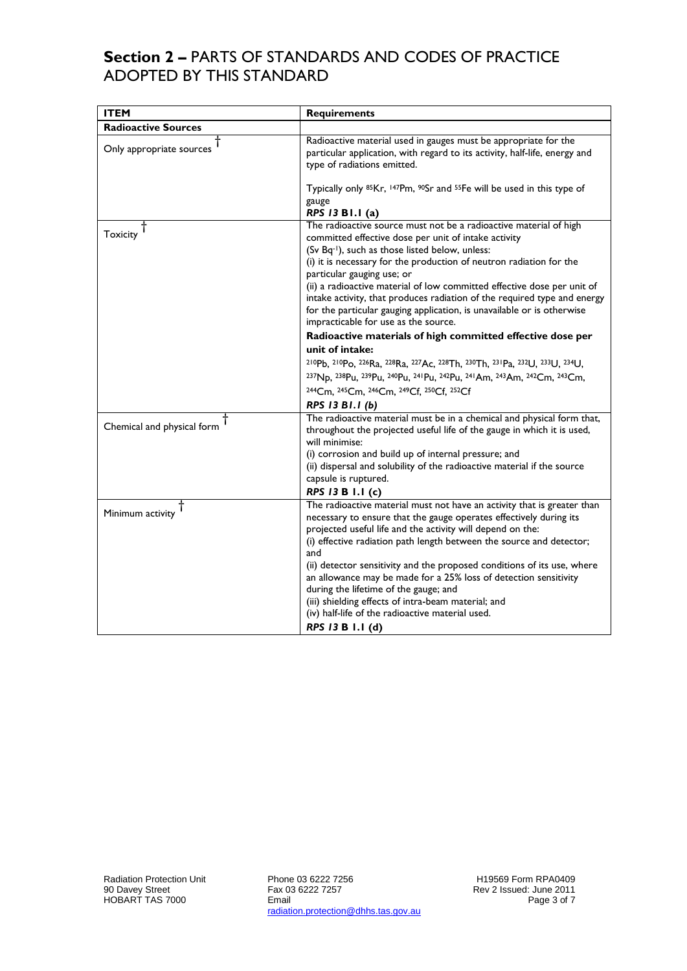### **Section 2 –** PARTS OF STANDARDS AND CODES OF PRACTICE ADOPTED BY THIS STANDARD

| <b>ITEM</b>                | <b>Requirements</b>                                                                                                                                                                                                                                                                                                                                                                                                                                                                                               |
|----------------------------|-------------------------------------------------------------------------------------------------------------------------------------------------------------------------------------------------------------------------------------------------------------------------------------------------------------------------------------------------------------------------------------------------------------------------------------------------------------------------------------------------------------------|
| <b>Radioactive Sources</b> |                                                                                                                                                                                                                                                                                                                                                                                                                                                                                                                   |
| Only appropriate sources   | Radioactive material used in gauges must be appropriate for the<br>particular application, with regard to its activity, half-life, energy and<br>type of radiations emitted.                                                                                                                                                                                                                                                                                                                                      |
|                            | Typically only <sup>85</sup> Kr, <sup>147</sup> Pm, <sup>90</sup> Sr and <sup>55</sup> Fe will be used in this type of<br>gauge<br>RPS 13 B1.1 (a)                                                                                                                                                                                                                                                                                                                                                                |
| <b>Toxicity</b>            | The radioactive source must not be a radioactive material of high<br>committed effective dose per unit of intake activity<br>(Sv Bq-1), such as those listed below, unless:<br>(i) it is necessary for the production of neutron radiation for the<br>particular gauging use; or<br>(ii) a radioactive material of low committed effective dose per unit of<br>intake activity, that produces radiation of the required type and energy<br>for the particular gauging application, is unavailable or is otherwise |
|                            | impracticable for use as the source.                                                                                                                                                                                                                                                                                                                                                                                                                                                                              |
|                            | Radioactive materials of high committed effective dose per                                                                                                                                                                                                                                                                                                                                                                                                                                                        |
|                            | unit of intake:                                                                                                                                                                                                                                                                                                                                                                                                                                                                                                   |
|                            | 210Pb, 210Po, 226Ra, 228Ra, 227Ac, 228Th, 230Th, 231Pa, 232U, 233U, 234U,                                                                                                                                                                                                                                                                                                                                                                                                                                         |
|                            | 237Np, 238Pu, 239Pu, 240Pu, 241Pu, 242Pu, 241Am, 243Am, 242Cm, 243Cm,                                                                                                                                                                                                                                                                                                                                                                                                                                             |
|                            | 244Cm, 245Cm, 246Cm, 249Cf, 250Cf, 252Cf                                                                                                                                                                                                                                                                                                                                                                                                                                                                          |
|                            | RPS 13 B1.1 (b)                                                                                                                                                                                                                                                                                                                                                                                                                                                                                                   |
| Chemical and physical form | The radioactive material must be in a chemical and physical form that,<br>throughout the projected useful life of the gauge in which it is used,<br>will minimise:                                                                                                                                                                                                                                                                                                                                                |
|                            | (i) corrosion and build up of internal pressure; and                                                                                                                                                                                                                                                                                                                                                                                                                                                              |
|                            | (ii) dispersal and solubility of the radioactive material if the source                                                                                                                                                                                                                                                                                                                                                                                                                                           |
|                            | capsule is ruptured.                                                                                                                                                                                                                                                                                                                                                                                                                                                                                              |
|                            | RPS 13 B 1.1 (c)                                                                                                                                                                                                                                                                                                                                                                                                                                                                                                  |
| Minimum activity           | The radioactive material must not have an activity that is greater than<br>necessary to ensure that the gauge operates effectively during its<br>projected useful life and the activity will depend on the:<br>(i) effective radiation path length between the source and detector;<br>and                                                                                                                                                                                                                        |
|                            | (ii) detector sensitivity and the proposed conditions of its use, where<br>an allowance may be made for a 25% loss of detection sensitivity<br>during the lifetime of the gauge; and<br>(iii) shielding effects of intra-beam material; and<br>(iv) half-life of the radioactive material used.<br>RPS 13 B 1.1 (d)                                                                                                                                                                                               |
|                            |                                                                                                                                                                                                                                                                                                                                                                                                                                                                                                                   |

Phone 03 6222 7256 Fax 03 6222 7257 Email radiation.protection@dhhs.tas.gov.au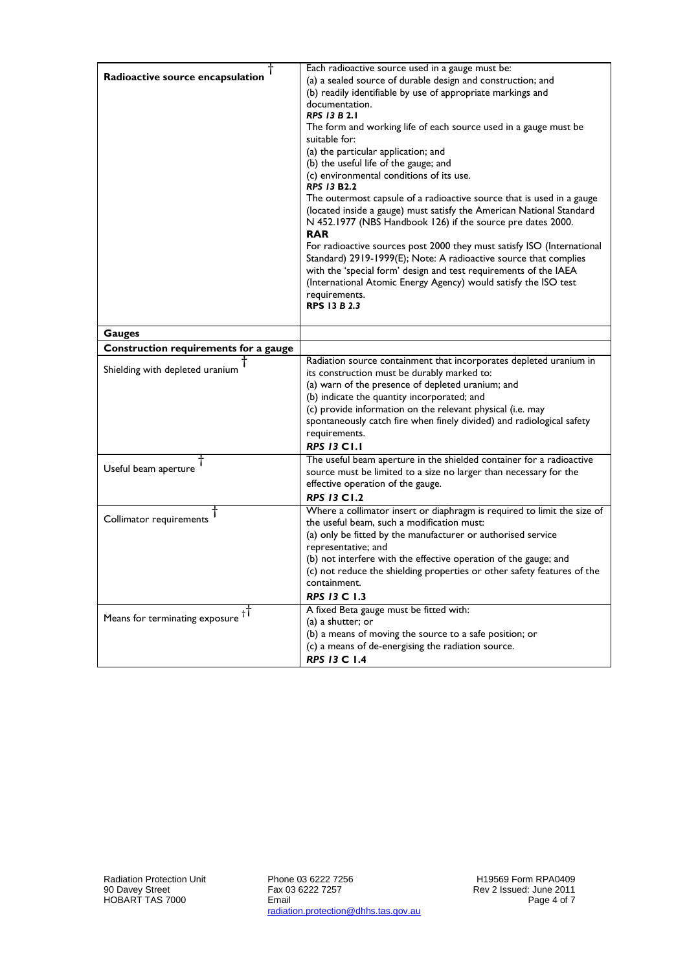| Radioactive source encapsulation         | Each radioactive source used in a gauge must be:<br>(a) a sealed source of durable design and construction; and<br>(b) readily identifiable by use of appropriate markings and<br>documentation.<br><b>RPS 13 B 2.1</b><br>The form and working life of each source used in a gauge must be<br>suitable for:<br>(a) the particular application; and<br>(b) the useful life of the gauge; and<br>(c) environmental conditions of its use.<br><b>RPS 13 B2.2</b><br>The outermost capsule of a radioactive source that is used in a gauge<br>(located inside a gauge) must satisfy the American National Standard<br>N 452.1977 (NBS Handbook 126) if the source pre dates 2000.<br><b>RAR</b><br>For radioactive sources post 2000 they must satisfy ISO (International<br>Standard) 2919-1999(E); Note: A radioactive source that complies<br>with the 'special form' design and test requirements of the IAEA<br>(International Atomic Energy Agency) would satisfy the ISO test<br>requirements.<br><b>RPS 13 B 2.3</b> |
|------------------------------------------|---------------------------------------------------------------------------------------------------------------------------------------------------------------------------------------------------------------------------------------------------------------------------------------------------------------------------------------------------------------------------------------------------------------------------------------------------------------------------------------------------------------------------------------------------------------------------------------------------------------------------------------------------------------------------------------------------------------------------------------------------------------------------------------------------------------------------------------------------------------------------------------------------------------------------------------------------------------------------------------------------------------------------|
| <b>Gauges</b>                            |                                                                                                                                                                                                                                                                                                                                                                                                                                                                                                                                                                                                                                                                                                                                                                                                                                                                                                                                                                                                                           |
| Construction requirements for a gauge    |                                                                                                                                                                                                                                                                                                                                                                                                                                                                                                                                                                                                                                                                                                                                                                                                                                                                                                                                                                                                                           |
| Shielding with depleted uranium          | Radiation source containment that incorporates depleted uranium in<br>its construction must be durably marked to:<br>(a) warn of the presence of depleted uranium; and<br>(b) indicate the quantity incorporated; and<br>(c) provide information on the relevant physical (i.e. may<br>spontaneously catch fire when finely divided) and radiological safety<br>requirements.<br><b>RPS 13 C1.1</b>                                                                                                                                                                                                                                                                                                                                                                                                                                                                                                                                                                                                                       |
| Useful beam aperture                     | The useful beam aperture in the shielded container for a radioactive<br>source must be limited to a size no larger than necessary for the<br>effective operation of the gauge.<br><b>RPS 13 C1.2</b>                                                                                                                                                                                                                                                                                                                                                                                                                                                                                                                                                                                                                                                                                                                                                                                                                      |
| Collimator requirements                  | Where a collimator insert or diaphragm is required to limit the size of<br>the useful beam, such a modification must:<br>(a) only be fitted by the manufacturer or authorised service<br>representative; and<br>(b) not interfere with the effective operation of the gauge; and<br>(c) not reduce the shielding properties or other safety features of the<br>containment.<br>RPS 13 C 1.3                                                                                                                                                                                                                                                                                                                                                                                                                                                                                                                                                                                                                               |
| Means for terminating exposure $\dagger$ | A fixed Beta gauge must be fitted with:<br>(a) a shutter; or<br>(b) a means of moving the source to a safe position; or<br>(c) a means of de-energising the radiation source.<br><b>RPS 13 C 1.4</b>                                                                                                                                                                                                                                                                                                                                                                                                                                                                                                                                                                                                                                                                                                                                                                                                                      |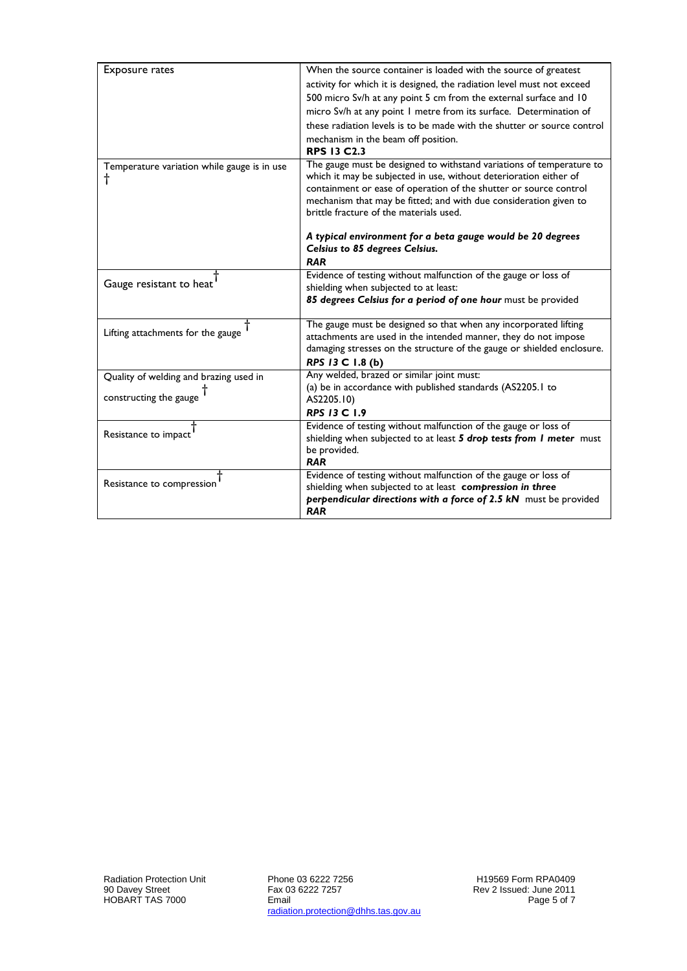| <b>Exposure rates</b>                       | When the source container is loaded with the source of greatest                                              |
|---------------------------------------------|--------------------------------------------------------------------------------------------------------------|
|                                             | activity for which it is designed, the radiation level must not exceed                                       |
|                                             | 500 micro Sv/h at any point 5 cm from the external surface and 10                                            |
|                                             | micro Sv/h at any point I metre from its surface. Determination of                                           |
|                                             | these radiation levels is to be made with the shutter or source control                                      |
|                                             | mechanism in the beam off position.                                                                          |
|                                             | <b>RPS 13 C2.3</b>                                                                                           |
| Temperature variation while gauge is in use | The gauge must be designed to withstand variations of temperature to                                         |
| t                                           | which it may be subjected in use, without deterioration either of                                            |
|                                             | containment or ease of operation of the shutter or source control                                            |
|                                             | mechanism that may be fitted; and with due consideration given to<br>brittle fracture of the materials used. |
|                                             |                                                                                                              |
|                                             | A typical environment for a beta gauge would be 20 degrees                                                   |
|                                             | Celsius to 85 degrees Celsius.                                                                               |
|                                             | <b>RAR</b>                                                                                                   |
|                                             | Evidence of testing without malfunction of the gauge or loss of                                              |
| Gauge resistant to heat                     | shielding when subjected to at least:                                                                        |
|                                             | 85 degrees Celsius for a period of one hour must be provided                                                 |
|                                             |                                                                                                              |
| Lifting attachments for the gauge           | The gauge must be designed so that when any incorporated lifting                                             |
|                                             | attachments are used in the intended manner, they do not impose                                              |
|                                             | damaging stresses on the structure of the gauge or shielded enclosure.<br>RPS 13 C 1.8 (b)                   |
|                                             | Any welded, brazed or similar joint must:                                                                    |
| Quality of welding and brazing used in      | (a) be in accordance with published standards (AS2205.1 to                                                   |
| constructing the gauge                      | AS2205.10)                                                                                                   |
|                                             | RPS 13 C 1.9                                                                                                 |
|                                             | Evidence of testing without malfunction of the gauge or loss of                                              |
| Resistance to impact                        | shielding when subjected to at least 5 drop tests from I meter must                                          |
|                                             | be provided.                                                                                                 |
|                                             | <b>RAR</b>                                                                                                   |
| Resistance to compression                   | Evidence of testing without malfunction of the gauge or loss of                                              |
|                                             | shielding when subjected to at least compression in three                                                    |
|                                             | perpendicular directions with a force of 2.5 kN must be provided<br><b>RAR</b>                               |
|                                             |                                                                                                              |

Phone 03 6222 7256 Fax 03 6222 7257 Email radiation.protection@dhhs.tas.gov.au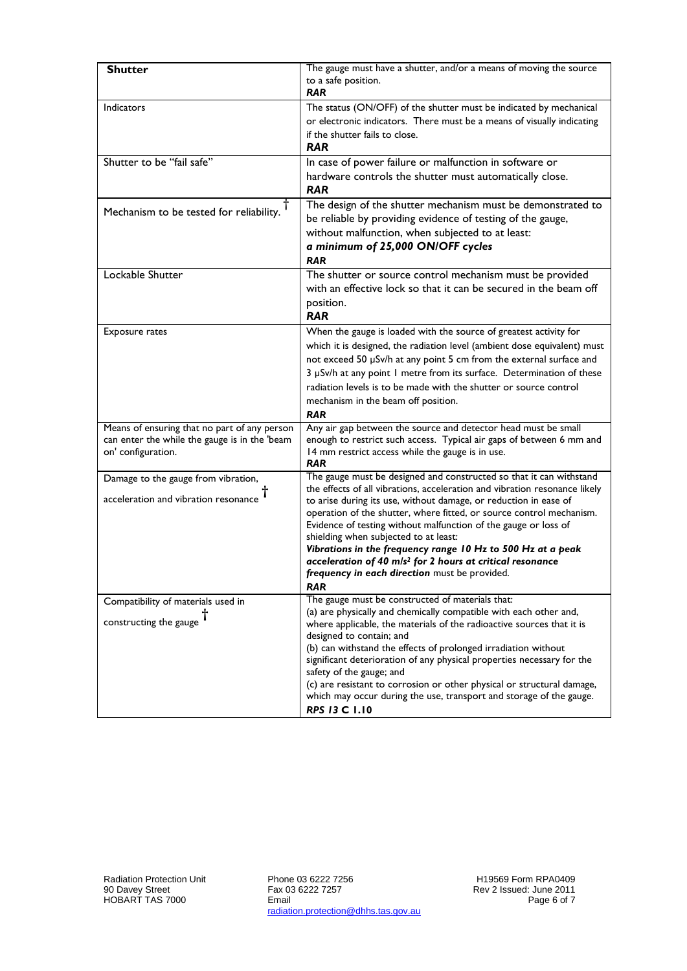| <b>Shutter</b>                                                      | The gauge must have a shutter, and/or a means of moving the source<br>to a safe position.                                                     |
|---------------------------------------------------------------------|-----------------------------------------------------------------------------------------------------------------------------------------------|
|                                                                     | <b>RAR</b>                                                                                                                                    |
| <b>Indicators</b>                                                   | The status (ON/OFF) of the shutter must be indicated by mechanical                                                                            |
|                                                                     | or electronic indicators. There must be a means of visually indicating<br>if the shutter fails to close.                                      |
|                                                                     | <b>RAR</b>                                                                                                                                    |
| Shutter to be "fail safe"                                           | In case of power failure or malfunction in software or                                                                                        |
|                                                                     | hardware controls the shutter must automatically close.<br><b>RAR</b>                                                                         |
| Mechanism to be tested for reliability.                             | The design of the shutter mechanism must be demonstrated to<br>be reliable by providing evidence of testing of the gauge,                     |
|                                                                     | without malfunction, when subjected to at least:                                                                                              |
|                                                                     | a minimum of 25,000 ON/OFF cycles                                                                                                             |
|                                                                     | <b>RAR</b>                                                                                                                                    |
| Lockable Shutter                                                    | The shutter or source control mechanism must be provided                                                                                      |
|                                                                     | with an effective lock so that it can be secured in the beam off                                                                              |
|                                                                     | position.                                                                                                                                     |
|                                                                     | <b>RAR</b>                                                                                                                                    |
| <b>Exposure rates</b>                                               | When the gauge is loaded with the source of greatest activity for                                                                             |
|                                                                     | which it is designed, the radiation level (ambient dose equivalent) must                                                                      |
|                                                                     | not exceed 50 µSv/h at any point 5 cm from the external surface and                                                                           |
|                                                                     | 3 µSv/h at any point I metre from its surface. Determination of these<br>radiation levels is to be made with the shutter or source control    |
|                                                                     | mechanism in the beam off position.                                                                                                           |
|                                                                     | <b>RAR</b>                                                                                                                                    |
| Means of ensuring that no part of any person                        | Any air gap between the source and detector head must be small                                                                                |
| can enter the while the gauge is in the 'beam<br>on' configuration. | enough to restrict such access. Typical air gaps of between 6 mm and<br>14 mm restrict access while the gauge is in use.                      |
|                                                                     | <b>RAR</b>                                                                                                                                    |
| Damage to the gauge from vibration,                                 | The gauge must be designed and constructed so that it can withstand                                                                           |
| acceleration and vibration resonance                                | the effects of all vibrations, acceleration and vibration resonance likely                                                                    |
|                                                                     | to arise during its use, without damage, or reduction in ease of<br>operation of the shutter, where fitted, or source control mechanism.      |
|                                                                     | Evidence of testing without malfunction of the gauge or loss of                                                                               |
|                                                                     | shielding when subjected to at least:                                                                                                         |
|                                                                     | Vibrations in the frequency range 10 Hz to 500 Hz at a peak<br>acceleration of 40 m/s <sup>2</sup> for 2 hours at critical resonance          |
|                                                                     | frequency in each direction must be provided.                                                                                                 |
|                                                                     | RAR                                                                                                                                           |
| Compatibility of materials used in                                  | The gauge must be constructed of materials that:                                                                                              |
| constructing the gauge                                              | (a) are physically and chemically compatible with each other and,                                                                             |
|                                                                     | where applicable, the materials of the radioactive sources that it is<br>designed to contain; and                                             |
|                                                                     | (b) can withstand the effects of prolonged irradiation without                                                                                |
|                                                                     | significant deterioration of any physical properties necessary for the                                                                        |
|                                                                     | safety of the gauge; and                                                                                                                      |
|                                                                     | (c) are resistant to corrosion or other physical or structural damage,<br>which may occur during the use, transport and storage of the gauge. |
|                                                                     | <b>RPS 13 C 1.10</b>                                                                                                                          |